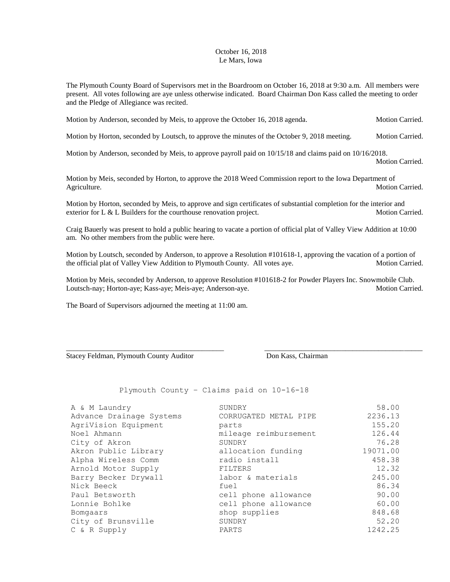## October 16, 2018 Le Mars, Iowa

The Plymouth County Board of Supervisors met in the Boardroom on October 16, 2018 at 9:30 a.m. All members were present. All votes following are aye unless otherwise indicated. Board Chairman Don Kass called the meeting to order and the Pledge of Allegiance was recited.

Motion by Anderson, seconded by Meis, to approve the October 16, 2018 agenda. Motion Carried.

Motion by Horton, seconded by Loutsch, to approve the minutes of the October 9, 2018 meeting. Motion Carried.

Motion by Anderson, seconded by Meis, to approve payroll paid on 10/15/18 and claims paid on 10/16/2018.

Motion Carried.

Motion by Meis, seconded by Horton, to approve the 2018 Weed Commission report to the Iowa Department of Agriculture. Motion Carried. And the state of the state of the Motion Carried. Motion Carried.

Motion by Horton, seconded by Meis, to approve and sign certificates of substantial completion for the interior and exterior for L & L Builders for the courthouse renovation project. Motion Carried.

Craig Bauerly was present to hold a public hearing to vacate a portion of official plat of Valley View Addition at 10:00 am. No other members from the public were here.

Motion by Loutsch, seconded by Anderson, to approve a Resolution #101618-1, approving the vacation of a portion of the official plat of Valley View Addition to Plymouth County. All votes aye. Motion Carried.

Motion by Meis, seconded by Anderson, to approve Resolution #101618-2 for Powder Players Inc. Snowmobile Club. Loutsch-nay; Horton-aye; Kass-aye; Meis-aye; Anderson-aye. Motion Carried.

\_\_\_\_\_\_\_\_\_\_\_\_\_\_\_\_\_\_\_\_\_\_\_\_\_\_\_\_\_\_\_\_\_\_\_\_\_\_\_\_\_\_\_ \_\_\_\_\_\_\_\_\_\_\_\_\_\_\_\_\_\_\_\_\_\_\_\_\_\_\_\_\_\_\_\_\_\_\_\_\_\_\_\_\_\_\_

The Board of Supervisors adjourned the meeting at 11:00 am.

Stacey Feldman, Plymouth County Auditor Don Kass, Chairman

Plymouth County – Claims paid on 10-16-18

| A & M Laundry            | SUNDRY                | 58.00    |
|--------------------------|-----------------------|----------|
| Advance Drainage Systems | CORRUGATED METAL PIPE | 2236.13  |
| AgriVision Equipment     | parts                 | 155.20   |
| Noel Ahmann              | mileage reimbursement | 126.44   |
| City of Akron            | SUNDRY                | 76.28    |
| Akron Public Library     | allocation funding    | 19071.00 |
| Alpha Wireless Comm      | radio install         | 458.38   |
| Arnold Motor Supply      | FILTERS               | 12.32    |
| Barry Becker Drywall     | labor & materials     | 245.00   |
| Nick Beeck               | fuel                  | 86.34    |
| Paul Betsworth           | cell phone allowance  | 90.00    |
| Lonnie Bohlke            | cell phone allowance  | 60.00    |
| Bomgaars                 | shop supplies         | 848.68   |
| City of Brunsville       | SUNDRY                | 52.20    |
| C & R Supply             | PARTS                 | 1242.25  |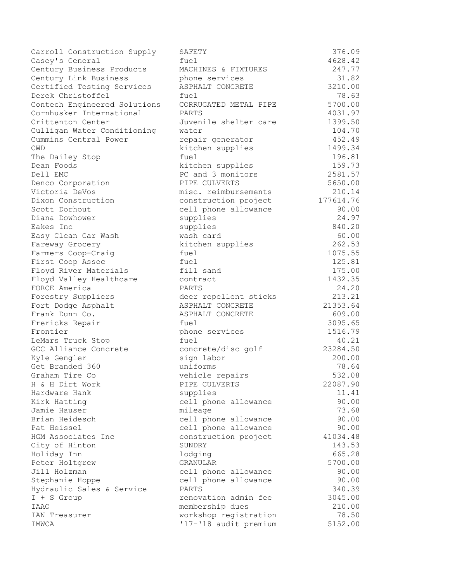Carroll Construction Supply SAFETY 376.09<br>4628.42 376.09 Casey's General fuel fuel 4628.42 Century Business Products MACHINES & FIXTURES 247.77 Century Link Business phone services 31.82 Certified Testing Services ASPHALT CONCRETE 3210.00 Derek Christoffel fuel 78.63 Contech Engineered Solutions CORRUGATED METAL PIPE 5700.00 Cornhusker International PARTS 2001.97 Crittenton Center Juvenile shelter care 1399.50 Culligan Water Conditioning water 104.70 Cummins Central Power repair generator 452.49 CWD kitchen supplies 1499.34 The Dailey Stop **fuel** fuel 196.81 Dean Foods kitchen supplies 159.73 Dell EMC **PC** and 3 monitors 2581.57 Denco Corporation **PIPE CULVERTS** 5650.00 Victoria DeVos misc. reimbursements 210.14 Dixon Construction construction project 177614.76 Scott Dorhout and Cell phone allowance 90.00 Diana Dowhower supplies 24.97 Eakes Inc supplies 840.20 Easy Clean Car Wash wash card 60.00 Fareway Grocery kitchen supplies 262.53 Farmers Coop-Craig fuel fuel 1075.55 First Coop Assoc fuel 125.81 Floyd River Materials fill sand 175.00 Floyd Valley Healthcare contract 1432.35 FORCE America PARTS 24.20 Forestry Suppliers deer repellent sticks 213.21 Fort Dodge Asphalt **ASPHALT CONCRETE** 21353.64 Frank Dunn Co. ASPHALT CONCRETE 609.00 Frericks Repair **Freedom Repair** fuel 3095.65 Frontier **phone services** 1516.79 LeMars Truck Stop 6 and fuel 40.21 GCC Alliance Concrete concrete/disc golf 23284.50 Kyle Gengler sign labor sign 200.00 Get Branded 360 uniforms 300 uniforms 78.64 Graham Tire Co **1988** vehicle repairs 1982.08 H & H Dirt Work PIPE CULVERTS 22087.90 Hardware Hank supplies 11.41 Kirk Hatting cell phone allowance 90.00 Jamie Hauser mileage 73.68 Brian Heidesch cell phone allowance 90.00 Pat Heissel **East Communist Cell** phone allowance 90.00 HGM Associates Inc construction project 41034.48 City of Hinton SUNDRY 143.53 Holiday Inn lodging 665.28 Peter Holtgrew GRANULAR GRANULAR 5700.00 Jill Holzman cell phone allowance 90.00 Stephanie Hoppe and the cell phone allowance 30.00 Hydraulic Sales & Service PARTS 340.39 I + S Group contraction admin fee 3045.00 IAAO membership dues 210.00 IAN Treasurer workshop registration 78.50 IMWCA '17-'18 audit premium 5152.00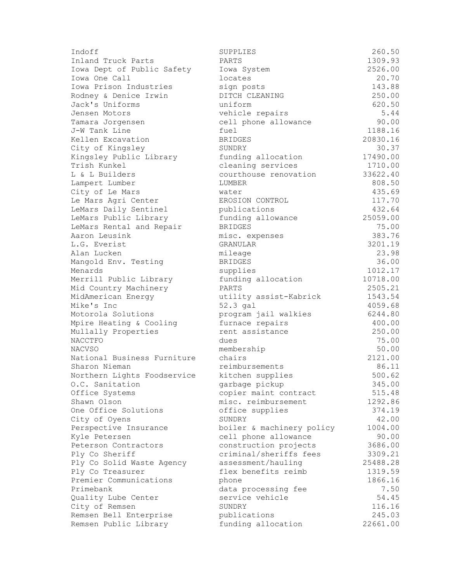| Indoff                      | SUPPLIES                  | 260.50   |
|-----------------------------|---------------------------|----------|
| Inland Truck Parts          | PARTS                     | 1309.93  |
| Iowa Dept of Public Safety  | Iowa System               | 2526.00  |
| Iowa One Call               | locates                   | 20.70    |
| Iowa Prison Industries      | sign posts                | 143.88   |
| Rodney & Denice Irwin       | DITCH CLEANING            | 250.00   |
| Jack's Uniforms             | uniform                   | 620.50   |
| Jensen Motors               | vehicle repairs           | 5.44     |
| Tamara Jorgensen            | cell phone allowance      | 90.00    |
| J-W Tank Line               | fuel                      | 1188.16  |
| Kellen Excavation           | <b>BRIDGES</b>            | 20830.16 |
| City of Kingsley            | SUNDRY                    | 30.37    |
| Kingsley Public Library     | funding allocation        | 17490.00 |
| Trish Kunkel                | cleaning services         | 1710.00  |
| L & L Builders              | courthouse renovation     | 33622.40 |
| Lampert Lumber              | LUMBER                    | 808.50   |
| City of Le Mars             | water                     | 435.69   |
| Le Mars Agri Center         | EROSION CONTROL           | 117.70   |
| LeMars Daily Sentinel       | publications              | 432.64   |
| LeMars Public Library       | funding allowance         | 25059.00 |
| LeMars Rental and Repair    | <b>BRIDGES</b>            | 75.00    |
| Aaron Leusink               | misc. expenses            | 383.76   |
| L.G. Everist                | GRANULAR                  | 3201.19  |
| Alan Lucken                 | mileage                   | 23.98    |
| Mangold Env. Testing        | <b>BRIDGES</b>            | 36.00    |
| Menards                     | supplies                  | 1012.17  |
| Merrill Public Library      | funding allocation        | 10718.00 |
| Mid Country Machinery       | PARTS                     | 2505.21  |
| MidAmerican Energy          | utility assist-Kabrick    | 1543.54  |
| Mike's Inc                  | 52.3 gal                  | 4059.68  |
| Motorola Solutions          | program jail walkies      | 6244.80  |
| Mpire Heating & Cooling     | furnace repairs           | 400.00   |
| Mullally Properties         | rent assistance           | 250.00   |
| NACCTFO                     | dues                      | 75.00    |
| <b>NACVSO</b>               | membership                | 50.00    |
| National Business Furniture | chairs                    | 2121.00  |
| Sharon Nieman               | reimbursements            | 86.11    |
| Northern Lights Foodservice | kitchen supplies          | 500.62   |
| O.C. Sanitation             | garbage pickup            | 345.00   |
| Office Systems              | copier maint contract     | 515.48   |
| Shawn Olson                 | misc. reimbursement       | 1292.86  |
| One Office Solutions        | office supplies           | 374.19   |
| City of Oyens               | SUNDRY                    | 42.00    |
| Perspective Insurance       | boiler & machinery policy | 1004.00  |
| Kyle Petersen               | cell phone allowance      | 90.00    |
| Peterson Contractors        | construction projects     | 3686.00  |
| Ply Co Sheriff              | criminal/sheriffs fees    | 3309.21  |
| Ply Co Solid Waste Agency   | assessment/hauling        | 25488.28 |
| Ply Co Treasurer            | flex benefits reimb       | 1319.59  |
| Premier Communications      | phone                     | 1866.16  |
| Primebank                   | data processing fee       | 7.50     |
| Quality Lube Center         | service vehicle           | 54.45    |
| City of Remsen              | SUNDRY                    | 116.16   |
| Remsen Bell Enterprise      | publications              | 245.03   |
| Remsen Public Library       | funding allocation        | 22661.00 |
|                             |                           |          |